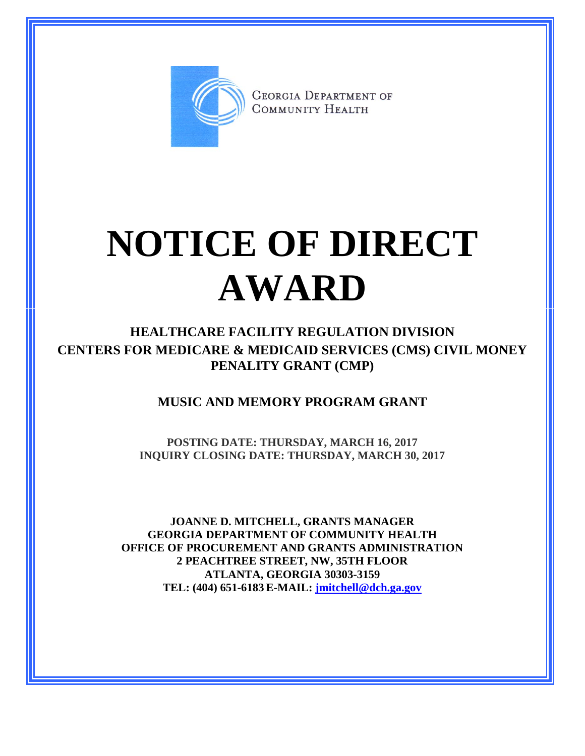

**GEORGIA DEPARTMENT OF** COMMUNITY HEALTH

## **NOTICE OF DIRECT AWARD**

**HEALTHCARE FACILITY REGULATION DIVISION CENTERS FOR MEDICARE & MEDICAID SERVICES (CMS) CIVIL MONEY PENALITY GRANT (CMP)**

**MUSIC AND MEMORY PROGRAM GRANT**

**POSTING DATE: THURSDAY, MARCH 16, 2017 INQUIRY CLOSING DATE: THURSDAY, MARCH 30, 2017**

**JOANNE D. MITCHELL, GRANTS MANAGER GEORGIA DEPARTMENT OF COMMUNITY HEALTH OFFICE OF PROCUREMENT AND GRANTS ADMINISTRATION 2 PEACHTREE STREET, NW, 35TH FLOOR ATLANTA, GEORGIA 30303-3159 TEL: (404) 651-6183 E-MAIL: [jmitchell@dch.ga.gov](mailto:awatson@dch.ga.gov)**